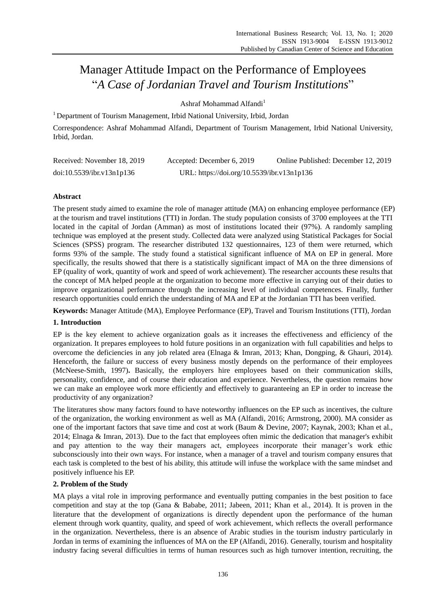# Manager Attitude Impact on the Performance of Employees ―*A Case of Jordanian Travel and Tourism Institutions*‖

Ashraf Mohammad Alfandi<sup>1</sup>

<sup>1</sup> Department of Tourism Management, Irbid National University, Irbid, Jordan

Correspondence: Ashraf Mohammad Alfandi, Department of Tourism Management, Irbid National University, Irbid, Jordan.

| Received: November 18, 2019 | Accepted: December 6, 2019                 | Online Published: December 12, 2019 |
|-----------------------------|--------------------------------------------|-------------------------------------|
| doi:10.5539/ibr.v13n1p136   | URL: https://doi.org/10.5539/ibr.v13n1p136 |                                     |

# **Abstract**

The present study aimed to examine the role of manager attitude (MA) on enhancing employee performance (EP) at the tourism and travel institutions (TTI) in Jordan. The study population consists of 3700 employees at the TTI located in the capital of Jordan (Amman) as most of institutions located their (97%). A randomly sampling technique was employed at the present study. Collected data were analyzed using Statistical Packages for Social Sciences (SPSS) program. The researcher distributed 132 questionnaires, 123 of them were returned, which forms 93% of the sample. The study found a statistical significant influence of MA on EP in general. More specifically, the results showed that there is a statistically significant impact of MA on the three dimensions of EP (quality of work, quantity of work and speed of work achievement). The researcher accounts these results that the concept of MA helped people at the organization to become more effective in carrying out of their duties to improve organizational performance through the increasing level of individual competences. Finally, further research opportunities could enrich the understanding of MA and EP at the Jordanian TTI has been verified.

**Keywords:** Manager Attitude (MA), Employee Performance (EP), Travel and Tourism Institutions (TTI), Jordan

# **1. Introduction**

EP is the key element to achieve organization goals as it increases the effectiveness and efficiency of the organization. It prepares employees to hold future positions in an organization with full capabilities and helps to overcome the deficiencies in any job related area (Elnaga & Imran, 2013; Khan, Dongping, & Ghauri, 2014). Henceforth, the failure or success of every business mostly depends on the performance of their employees (McNeese-Smith, 1997)**.** Basically, the employers hire employees based on their communication skills, personality, confidence, and of course their education and experience. Nevertheless, the question remains how we can make an employee work more efficiently and effectively to guaranteeing an EP in order to increase the productivity of any organization?

The literatures show many factors found to have noteworthy influences on the EP such as incentives, the culture of the organization, the working environment as well as MA (Alfandi, 2016; Armstrong, 2000). MA consider as one of the important factors that save time and cost at work (Baum & Devine, 2007; Kaynak, 2003; Khan et al., 2014; Elnaga & Imran, 2013). Due to the fact that employees often mimic the dedication that manager's exhibit and pay attention to the way their managers act, employees incorporate their manager's work ethic subconsciously into their own ways. For instance, when a manager of a travel and tourism company ensures that each task is completed to the best of his ability, this attitude will infuse the workplace with the same mindset and positively influence his EP.

# **2. Problem of the Study**

MA plays a vital role in improving performance and eventually putting companies in the best position to face competition and stay at the top (Gana & Bababe, 2011; Jabeen, 2011; Khan et al., 2014). It is proven in the literature that the development of organizations is directly dependent upon the performance of the human element through work quantity, quality, and speed of work achievement, which reflects the overall performance in the organization. Nevertheless, there is an absence of Arabic studies in the tourism industry particularly in Jordan in terms of examining the influences of MA on the EP (Alfandi, 2016). Generally, tourism and hospitality industry facing several difficulties in terms of human resources such as high turnover intention, recruiting, the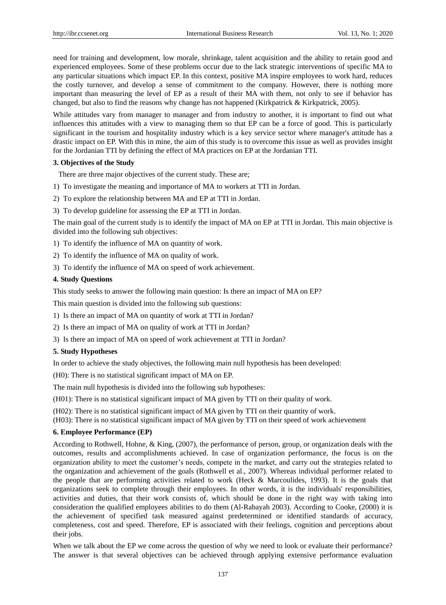need for training and development, low morale, shrinkage, talent acquisition and the ability to retain good and experienced employees. Some of these problems occur due to the lack strategic interventions of specific MA to any particular situations which impact EP. In this context, positive MA inspire employees to work hard, reduces the costly turnover, and develop a sense of commitment to the company. However, there is nothing more important than measuring the level of EP as a result of their MA with them, not only to see if behavior has changed, but also to find the reasons why change has not happened (Kirkpatrick & Kirkpatrick, 2005).

While attitudes vary from manager to manager and from industry to another, it is important to find out what influences this attitudes with a view to managing them so that EP can be a force of good. This is particularly significant in the tourism and hospitality industry which is a key service sector where manager's attitude has a drastic impact on EP. With this in mine, the aim of this study is to overcome this issue as well as provides insight for the Jordanian TTI by defining the effect of MA practices on EP at the Jordanian TTI.

#### **3. Objectives of the Study**

There are three major objectives of the current study. These are;

- 1) To investigate the meaning and importance of MA to workers at TTI in Jordan.
- 2) To explore the relationship between MA and EP at TTI in Jordan.
- 3) To develop guideline for assessing the EP at TTI in Jordan.

The main goal of the current study is to identify the impact of MA on EP at TTI in Jordan. This main objective is divided into the following sub objectives:

1) To identify the influence of MA on quantity of work.

2) To identify the influence of MA on quality of work.

3) To identify the influence of MA on speed of work achievement.

#### **4. Study Questions**

This study seeks to answer the following main question: Is there an impact of MA on EP?

This main question is divided into the following sub questions:

1) Is there an impact of MA on quantity of work at TTI in Jordan?

2) Is there an impact of MA on quality of work at TTI in Jordan?

3) Is there an impact of MA on speed of work achievement at TTI in Jordan?

#### **5. Study Hypotheses**

In order to achieve the study objectives, the following main null hypothesis has been developed:

(H0): There is no statistical significant impact of MA on EP.

The main null hypothesis is divided into the following sub hypotheses:

(H01): There is no statistical significant impact of MA given by TTI on their quality of work.

(H02): There is no statistical significant impact of MA given by TTI on their quantity of work.

(H03): There is no statistical significant impact of MA given by TTI on their speed of work achievement

#### **6. Employee Performance (EP)**

According to Rothwell, Hohne, & King, (2007), the performance of person, group, or organization deals with the outcomes, results and accomplishments achieved. In case of organization performance, the focus is on the organization ability to meet the customer's needs, compete in the market, and carry out the strategies related to the organization and achievement of the goals (Rothwell et al., 2007). Whereas individual performer related to the people that are performing activities related to work (Heck  $\&$  Marcoulides, 1993). It is the goals that organizations seek to complete through their employees. In other words, it is the individuals' responsibilities, activities and duties, that their work consists of, which should be done in the right way with taking into consideration the qualified employees abilities to do them (Al-Rabayah 2003). According to Cooke, (2000) it is the achievement of specified task measured against predetermined or identified standards of accuracy, completeness, cost and speed. Therefore, EP is associated with their feelings, cognition and perceptions about their jobs.

When we talk about the EP we come across the question of why we need to look or evaluate their performance? The answer is that several objectives can be achieved through applying extensive performance evaluation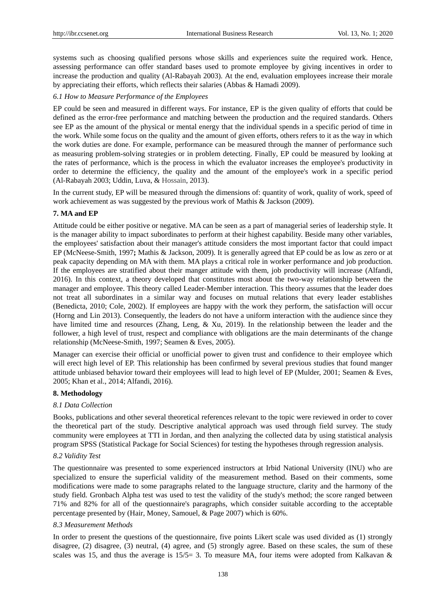systems such as choosing qualified persons whose skills and experiences suite the required work. Hence, assessing performance can offer standard bases used to promote employee by giving incentives in order to increase the production and quality (Al-Rabayah 2003). At the end, evaluation employees increase their morale by appreciating their efforts, which reflects their salaries (Abbas & Hamadi 2009).

#### *6.1 How to Measure Performance of the Employees*

EP could be seen and measured in different ways. For instance, EP is the given quality of efforts that could be defined as the error-free performance and matching between the production and the required standards. Others see EP as the amount of the physical or mental energy that the individual spends in a specific period of time in the work. While some focus on the quality and the amount of given efforts, others refers to it as the way in which the work duties are done. For example, performance can be measured through the manner of performance such as measuring problem-solving strategies or in problem detecting. Finally, EP could be measured by looking at the rates of performance, which is the process in which the evaluator increases the employee's productivity in order to determine the efficiency, the quality and the amount of the employee's work in a specific period (Al-Rabayah 2003; Uddin, Luva, & Hossain, 2013).

In the current study, EP will be measured through the dimensions of: quantity of work, quality of work, speed of work achievement as was suggested by the previous work of Mathis & Jackson (2009).

## **7. MA and EP**

Attitude could be either positive or negative. MA can be seen as a part of managerial series of leadership style. It is the manager ability to impact subordinates to perform at their highest capability. Beside many other variables, the employees' satisfaction about their manager's attitude considers the most important factor that could impact EP (McNeese-Smith, 1997**;** Mathis & Jackson, 2009). It is generally agreed that EP could be as low as zero or at peak capacity depending on MA with them. MA plays a critical role in worker performance and job production. If the employees are stratified about their manger attitude with them, job productivity will increase (Alfandi, 2016). In this context, a theory developed that constitutes most about the two-way relationship between the manager and employee. This theory called Leader-Member interaction. This theory assumes that the leader does not treat all subordinates in a similar way and focuses on mutual relations that every leader establishes (Benedicta, 2010; Cole, 2002). If employees are happy with the work they perform, the satisfaction will occur (Horng and Lin 2013). Consequently, the leaders do not have a uniform interaction with the audience since they have limited time and resources (Zhang, Leng, & Xu, 2019). In the relationship between the leader and the follower, a high level of trust, respect and compliance with obligations are the main determinants of the change relationship (McNeese-Smith, 1997; Seamen & Eves, 2005).

Manager can exercise their official or unofficial power to given trust and confidence to their employee which will erect high level of EP. This relationship has been confirmed by several previous studies that found manger attitude unbiased behavior toward their employees will lead to high level of EP (Mulder, 2001; Seamen & Eves, 2005; Khan et al., 2014; Alfandi, 2016).

## **8. Methodology**

#### *8.1 Data Collection*

Books, publications and other several theoretical references relevant to the topic were reviewed in order to cover the theoretical part of the study. Descriptive analytical approach was used through field survey. The study community were employees at TTI in Jordan, and then analyzing the collected data by using statistical analysis program SPSS (Statistical Package for Social Sciences) for testing the hypotheses through regression analysis.

#### *8.2 Validity Test*

The questionnaire was presented to some experienced instructors at Irbid National University (INU) who are specialized to ensure the superficial validity of the measurement method. Based on their comments, some modifications were made to some paragraphs related to the language structure, clarity and the harmony of the study field. Gronbach Alpha test was used to test the validity of the study's method; the score ranged between 71% and 82% for all of the questionnaire's paragraphs, which consider suitable according to the acceptable percentage presented by (Hair, Money, Samouel, & Page 2007) which is 60%.

#### *8.3 Measurement Methods*

In order to present the questions of the questionnaire, five points Likert scale was used divided as (1) strongly disagree, (2) disagree, (3) neutral, (4) agree, and (5) strongly agree. Based on these scales, the sum of these scales was 15, and thus the average is  $15/5=3$ . To measure MA, four items were adopted from Kalkavan &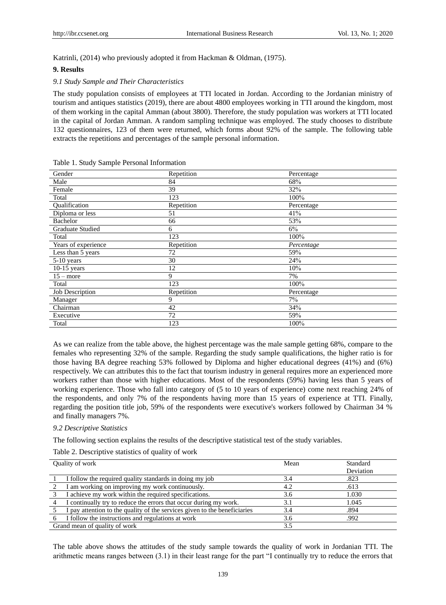Katrinli, (2014) who previously adopted it from Hackman & Oldman, (1975).

#### **9. Results**

#### *9.1 Study Sample and Their Characteristics*

The study population consists of employees at TTI located in Jordan. According to the Jordanian ministry of tourism and antiques statistics (2019), there are about 4800 employees working in TTI around the kingdom, most of them working in the capital Amman (about 3800). Therefore, the study population was workers at TTI located in the capital of Jordan Amman. A random sampling technique was employed. The study chooses to distribute 132 questionnaires, 123 of them were returned, which forms about 92% of the sample. The following table extracts the repetitions and percentages of the sample personal information.

| Gender                  | Repetition | Percentage |
|-------------------------|------------|------------|
| Male                    | 84         | 68%        |
| Female                  | 39         | 32%        |
| Total                   | 123        | 100%       |
| <b>Oualification</b>    | Repetition | Percentage |
| Diploma or less         | 51         | 41%        |
| Bachelor                | 66         | 53%        |
| <b>Graduate Studied</b> | 6          | 6%         |
| Total                   | 123        | 100%       |
| Years of experience     | Repetition | Percentage |
| Less than 5 years       | 72         | 59%        |
| 5-10 years              | 30         | 24%        |
| $10-15$ years           | 12         | 10%        |
| $15$ – more             | 9          | 7%         |
| Total                   | 123        | 100%       |
| Job Description         | Repetition | Percentage |
| Manager                 | 9          | 7%         |
| Chairman                | 42         | 34%        |
| Executive               | 72         | 59%        |
| Total                   | 123        | 100%       |

Table 1. Study Sample Personal Information

As we can realize from the table above, the highest percentage was the male sample getting 68%, compare to the females who representing 32% of the sample. Regarding the study sample qualifications, the higher ratio is for those having BA degree reaching 53% followed by Diploma and higher educational degrees (41%) and (6%) respectively. We can attributes this to the fact that tourism industry in general requires more an experienced more workers rather than those with higher educations. Most of the respondents (59%) having less than 5 years of working experience. Those who fall into category of (5 to 10 years of experience) come next reaching 24% of the respondents, and only 7% of the respondents having more than 15 years of experience at TTI. Finally, regarding the position title job, 59% of the respondents were executive's workers followed by Chairman 34 % and finally managers 7%.

#### *9.2 Descriptive Statistics*

The following section explains the results of the descriptive statistical test of the study variables.

#### Table 2. Descriptive statistics of quality of work

| Quality of work               |                                                                           | Mean | Standard<br>Deviation |
|-------------------------------|---------------------------------------------------------------------------|------|-----------------------|
|                               | I follow the required quality standards in doing my job                   | 3.4  | .823                  |
|                               | I am working on improving my work continuously.                           | 4.2  | .613                  |
|                               | I achieve my work within the required specifications.                     | 3.6  | 1.030                 |
|                               | I continually try to reduce the errors that occur during my work.         |      | 1.045                 |
|                               | I pay attention to the quality of the services given to the beneficiaries | 3.4  | .894                  |
|                               | I follow the instructions and regulations at work                         | 3.6  | .992                  |
| Grand mean of quality of work |                                                                           | 3.5  |                       |

The table above shows the attitudes of the study sample towards the quality of work in Jordanian TTI. The arithmetic means ranges between  $(3.1)$  in their least range for the part  $\degree$ I continually try to reduce the errors that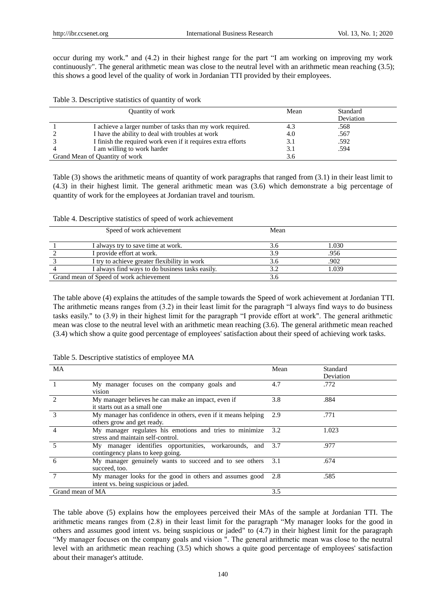occur during my work." and  $(4.2)$  in their highest range for the part "I am working on improving my work continuously". The general arithmetic mean was close to the neutral level with an arithmetic mean reaching (3.5); this shows a good level of the quality of work in Jordanian TTI provided by their employees.

| Quantity of work               |                                                              | Mean | Standard  |
|--------------------------------|--------------------------------------------------------------|------|-----------|
|                                |                                                              |      | Deviation |
|                                | I achieve a larger number of tasks than my work required.    | 4.3  | .568      |
|                                | I have the ability to deal with troubles at work             | 4.0  | .567      |
|                                | I finish the required work even if it requires extra efforts | 3.1  | .592      |
|                                | I am willing to work harder                                  | 3.1  | .594      |
| Grand Mean of Quantity of work |                                                              | 3.6  |           |

Table (3) shows the arithmetic means of quantity of work paragraphs that ranged from (3.1) in their least limit to (4.3) in their highest limit. The general arithmetic mean was (3.6) which demonstrate a big percentage of quantity of work for the employees at Jordanian travel and tourism.

Table 4. Descriptive statistics of speed of work achievement

|                                         | Speed of work achievement                       | Mean |       |
|-----------------------------------------|-------------------------------------------------|------|-------|
|                                         | I always try to save time at work.              | 3.6  | 1.030 |
|                                         | I provide effort at work.                       | 3.9  | .956  |
|                                         | I try to achieve greater flexibility in work    | 3.6  | .902  |
|                                         | I always find ways to do business tasks easily. | 3.2  | 1.039 |
| Grand mean of Speed of work achievement |                                                 |      |       |

The table above (4) explains the attitudes of the sample towards the Speed of work achievement at Jordanian TTI. The arithmetic means ranges from  $(3.2)$  in their least limit for the paragraph  $\degree$ I always find ways to do business tasks easily." to (3.9) in their highest limit for the paragraph "I provide effort at work". The general arithmetic mean was close to the neutral level with an arithmetic mean reaching (3.6). The general arithmetic mean reached (3.4) which show a quite good percentage of employees' satisfaction about their speed of achieving work tasks.

| MA                          |                                                                                                   | Mean | Standard<br>Deviation |
|-----------------------------|---------------------------------------------------------------------------------------------------|------|-----------------------|
|                             | My manager focuses on the company goals and<br>vision                                             | 4.7  | .772                  |
| $\mathcal{D}_{\mathcal{L}}$ | My manager believes he can make an impact, even if<br>it starts out as a small one                | 3.8  | .884                  |
| $\mathcal{R}$               | My manager has confidence in others, even if it means helping<br>others grow and get ready.       | 2.9  | .771                  |
|                             | My manager regulates his emotions and tries to minimize<br>stress and maintain self-control.      | 3.2  | 1.023                 |
|                             | My manager identifies opportunities, workarounds, and 3.7<br>contingency plans to keep going.     |      | .977                  |
| 6                           | My manager genuinely wants to succeed and to see others 3.1<br>succeed, too.                      |      | .674                  |
|                             | My manager looks for the good in others and assumes good<br>intent vs. being suspicious or jaded. | 2.8  | .585                  |
| Grand mean of MA            |                                                                                                   | 3.5  |                       |

Table 5. Descriptive statistics of employee MA

The table above (5) explains how the employees perceived their MAs of the sample at Jordanian TTI. The arithmetic means ranges from (2.8) in their least limit for the paragraph "My manager looks for the good in others and assumes good intent vs. being suspicious or jaded" to (4.7) in their highest limit for the paragraph "My manager focuses on the company goals and vision ". The general arithmetic mean was close to the neutral level with an arithmetic mean reaching (3.5) which shows a quite good percentage of employees' satisfaction about their manager's attitude.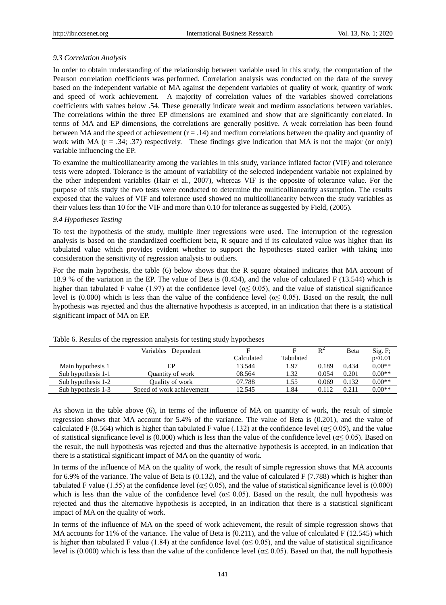#### *9.3 Correlation Analysis*

In order to obtain understanding of the relationship between variable used in this study, the computation of the Pearson correlation coefficients was performed. Correlation analysis was conducted on the data of the survey based on the independent variable of MA against the dependent variables of quality of work, quantity of work and speed of work achievement. A majority of correlation values of the variables showed correlations coefficients with values below .54. These generally indicate weak and medium associations between variables. The correlations within the three EP dimensions are examined and show that are significantly correlated. In terms of MA and EP dimensions, the correlations are generally positive. A weak correlation has been found between MA and the speed of achievement  $(r = .14)$  and medium correlations between the quality and quantity of work with MA  $(r = .34; .37)$  respectively. These findings give indication that MA is not the major (or only) variable influencing the EP.

To examine the multicollianearity among the variables in this study, variance inflated factor (VIF) and tolerance tests were adopted. Tolerance is the amount of variability of the selected independent variable not explained by the other independent variables (Hair et al., 2007), whereas VIF is the opposite of tolerance value. For the purpose of this study the two tests were conducted to determine the multicollianearity assumption. The results exposed that the values of VIF and tolerance used showed no multicollianearity between the study variables as their values less than 10 for the VIF and more than 0.10 for tolerance as suggested by Field, (2005).

#### *9.4 Hypotheses Testing*

To test the hypothesis of the study, multiple liner regressions were used. The interruption of the regression analysis is based on the standardized coefficient beta, R square and if its calculated value was higher than its tabulated value which provides evident whether to support the hypotheses stated earlier with taking into consideration the sensitivity of regression analysis to outliers.

For the main hypothesis, the table (6) below shows that the R square obtained indicates that MA account of 18.9 % of the variation in the EP. The value of Beta is (0.434), and the value of calculated F (13.544) which is higher than tabulated F value (1.97) at the confidence level ( $\alpha \le 0.05$ ), and the value of statistical significance level is (0.000) which is less than the value of the confidence level ( $\alpha \le 0.05$ ). Based on the result, the null hypothesis was rejected and thus the alternative hypothesis is accepted, in an indication that there is a statistical significant impact of MA on EP.

|                    | Variables Dependent       |            |           | $R^2$ | Beta  | Sig. F;  |
|--------------------|---------------------------|------------|-----------|-------|-------|----------|
|                    |                           | Calculated | Tabulated |       |       | p<0.01   |
| Main hypothesis 1  | EP                        | 13.544     | 1.97      | 0.189 | 0.434 | $0.00**$ |
| Sub hypothesis 1-1 | Quantity of work          | 08.564     | 1.32      | 0.054 | 0.201 | $0.00**$ |
| Sub hypothesis 1-2 | Quality of work           | 07.788     | 1.55      | 0.069 | 0.132 | $0.00**$ |
| Sub hypothesis 1-3 | Speed of work achievement | 12.545     | 1.84      | 0.112 | 0.211 | $0.00**$ |

Table 6. Results of the regression analysis for testing study hypotheses

As shown in the table above (6), in terms of the influence of MA on quantity of work, the result of simple regression shows that MA account for 5.4% of the variance. The value of Beta is (0.201), and the value of calculated F (8.564) which is higher than tabulated F value (.132) at the confidence level ( $\alpha \le 0.05$ ), and the value of statistical significance level is (0.000) which is less than the value of the confidence level ( $\alpha \le 0.05$ ). Based on the result, the null hypothesis was rejected and thus the alternative hypothesis is accepted, in an indication that there is a statistical significant impact of MA on the quantity of work.

In terms of the influence of MA on the quality of work, the result of simple regression shows that MA accounts for 6.9% of the variance. The value of Beta is  $(0.132)$ , and the value of calculated F (7.788) which is higher than tabulated F value (1.55) at the confidence level ( $\alpha \le 0.05$ ), and the value of statistical significance level is (0.000) which is less than the value of the confidence level ( $\alpha \leq 0.05$ ). Based on the result, the null hypothesis was rejected and thus the alternative hypothesis is accepted, in an indication that there is a statistical significant impact of MA on the quality of work.

In terms of the influence of MA on the speed of work achievement, the result of simple regression shows that MA accounts for 11% of the variance. The value of Beta is  $(0.211)$ , and the value of calculated F (12.545) which is higher than tabulated F value (1.84) at the confidence level ( $\alpha \leq 0.05$ ), and the value of statistical significance level is (0.000) which is less than the value of the confidence level ( $\alpha \le 0.05$ ). Based on that, the null hypothesis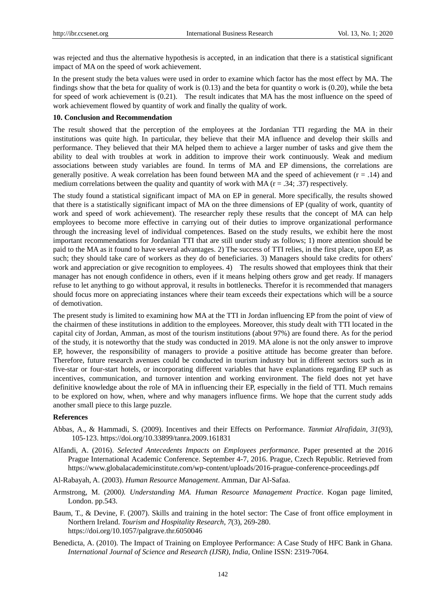was rejected and thus the alternative hypothesis is accepted, in an indication that there is a statistical significant impact of MA on the speed of work achievement.

In the present study the beta values were used in order to examine which factor has the most effect by MA. The findings show that the beta for quality of work is (0.13) and the beta for quantity o work is (0.20), while the beta for speed of work achievement is (0.21). The result indicates that MA has the most influence on the speed of work achievement flowed by quantity of work and finally the quality of work.

# **10. Conclusion and Recommendation**

The result showed that the perception of the employees at the Jordanian TTI regarding the MA in their institutions was quite high. In particular, they believe that their MA influence and develop their skills and performance. They believed that their MA helped them to achieve a larger number of tasks and give them the ability to deal with troubles at work in addition to improve their work continuously. Weak and medium associations between study variables are found. In terms of MA and EP dimensions, the correlations are generally positive. A weak correlation has been found between MA and the speed of achievement  $(r = .14)$  and medium correlations between the quality and quantity of work with MA  $(r = .34; .37)$  respectively.

The study found a statistical significant impact of MA on EP in general. More specifically, the results showed that there is a statistically significant impact of MA on the three dimensions of EP (quality of work, quantity of work and speed of work achievement). The researcher reply these results that the concept of MA can help employees to become more effective in carrying out of their duties to improve organizational performance through the increasing level of individual competences. Based on the study results, we exhibit here the most important recommendations for Jordanian TTI that are still under study as follows; 1) more attention should be paid to the MA as it found to have several advantages. 2) The success of TTI relies, in the first place, upon EP, as such; they should take care of workers as they do of beneficiaries. 3) Managers should take credits for others' work and appreciation or give recognition to employees. 4) The results showed that employees think that their manager has not enough confidence in others, even if it means helping others grow and get ready. If managers refuse to let anything to go without approval, it results in bottlenecks. Therefor it is recommended that managers should focus more on appreciating instances where their team exceeds their expectations which will be a source of demotivation.

The present study is limited to examining how MA at the TTI in Jordan influencing EP from the point of view of the chairmen of these institutions in addition to the employees. Moreover, this study dealt with TTI located in the capital city of Jordan, Amman, as most of the tourism institutions (about 97%) are found there. As for the period of the study, it is noteworthy that the study was conducted in 2019. MA alone is not the only answer to improve EP, however, the responsibility of managers to provide a positive attitude has become greater than before. Therefore, future research avenues could be conducted in tourism industry but in different sectors such as in five-star or four-start hotels, or incorporating different variables that have explanations regarding EP such as incentives, communication, and turnover intention and working environment. The field does not yet have definitive knowledge about the role of MA in influencing their EP, especially in the field of TTI. Much remains to be explored on how, when, where and why managers influence firms. We hope that the current study adds another small piece to this large puzzle.

#### **References**

- Abbas, A., & Hammadi, S. (2009). Incentives and their Effects on Performance. *Tanmiat Alrafidain*, *31*(93), 105-123.<https://doi.org/10.33899/tanra.2009.161831>
- Alfandi, A. (2016). *Selected Antecedents Impacts on Employees performance.* Paper presented at the 2016 Prague International Academic Conference. September 4-7, 2016. Prague, Czech Republic. Retrieved from <https://www.globalacademicinstitute.com/wp-content/uploads/2016-prague-conference-proceedings.pdf>
- Al-Rabayah, A. (2003). *Human Resource Management*. Amman, Dar Al-Safaa.
- Armstrong, M. (2000*). Understanding MA. Human Resource Management Practice*. Kogan page limited, London. pp.543.
- Baum, T., & Devine, F. (2007). Skills and training in the hotel sector: The Case of front office employment in Northern Ireland. *Tourism and Hospitality Research*, *7*(3), 269-280. <https://doi.org/10.1057/palgrave.thr.6050046>
- Benedicta, A. (2010). The Impact of Training on Employee Performance: A Case Study of HFC Bank in Ghana*. International Journal of Science and Research (IJSR), India,* Online ISSN: 2319-7064.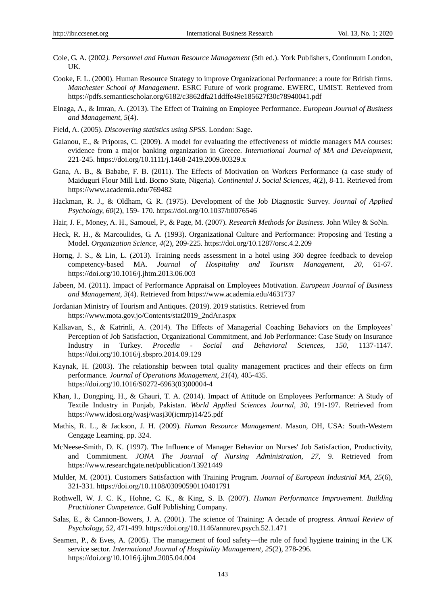- Cole, G. A. (2002*). Personnel and Human Resource Management* (5th ed.). York Publishers, Continuum London, UK.
- Cooke, F. L. (2000). Human Resource Strategy to improve Organizational Performance: a route for British firms. *Manchester School of Management*. ESRC Future of work programe. EWERC, UMIST. Retrieved from <https://pdfs.semanticscholar.org/6182/c3862dfa21ddffe49e185627f30c78940041.pdf>
- Elnaga, A., & Imran, A. (2013). The Effect of Training on Employee Performance. *European Journal of Business and Management, 5*(4).
- Field, A. (2005). *Discovering statistics using SPSS*. London: Sage.
- Galanou, E., & Priporas, C. (2009). A model for evaluating the effectiveness of middle managers MA courses: evidence from a major banking organization in Greece. *International Journal of MA and Development*, 221-245.<https://doi.org/10.1111/j.1468-2419.2009.00329.x>
- Gana, A. B., & Bababe, F. B. (2011). The Effects of Motivation on Workers Performance (a case study of Maiduguri Flour Mill Ltd. Borno State, Nigeria). *Continental J. Social Sciences*, *4*(2), 8-11. Retrieved from <https://www.academia.edu/769482>
- Hackman, R. J., & Oldham, G. R. (1975). Development of the Job Diagnostic Survey. *Journal of Applied Psychology, 60*(2), 159- 170.<https://doi.org/10.1037/h0076546>
- Hair, J. F., Money, A. H., Samouel, P., & Page, M. (2007). *Research Methods for Business*. John Wiley & SoNn.
- Heck, R. H., & Marcoulides, G. A. (1993). Organizational Culture and Performance: Proposing and Testing a Model. *Organization Science, 4*(2), 209-225.<https://doi.org/10.1287/orsc.4.2.209>
- Horng, J. S., & Lin, L. (2013). Training needs assessment in a hotel using 360 degree feedback to develop competency-based MA. *Journal of Hospitality and Tourism Management, 20,* 61-67. <https://doi.org/10.1016/j.jhtm.2013.06.003>
- Jabeen, M. (2011). Impact of Performance Appraisal on Employees Motivation. *European Journal of Business and Management, 3*(4). Retrieved fro[m https://www.academia.edu/4631737](https://www.academia.edu/4631737)
- Jordanian Ministry of Tourism and Antiques. (2019). 2019 statistics. Retrieved from [https://www.mota.gov.jo/Contents/stat2019\\_2ndAr.aspx](https://www.mota.gov.jo/Contents/stat2019_2ndAr.aspx)
- Kalkavan, S., & Katrinli, A. (2014). The Effects of Managerial Coaching Behaviors on the Employees' Perception of Job Satisfaction, Organizational Commitment, and Job Performance: Case Study on Insurance Industry in Turkey. *Procedia - Social and Behavioral Sciences*, *150,* 1137-1147. <https://doi.org/10.1016/j.sbspro.2014.09.129>
- Kaynak, H. (2003). The relationship between total quality management practices and their effects on firm performance. *Journal of Operations Management, 21*(4), 405-435. [https://doi.org/10.1016/S0272-6963\(03\)00004-4](https://doi.org/10.1016/S0272-6963(03)00004-4)
- Khan, I., Dongping, H., & Ghauri, T. A. (2014). Impact of Attitude on Employees Performance: A Study of Textile Industry in Punjab, Pakistan. *World Applied Sciences Journal*, *30,* 191-197. Retrieved from [https://www.idosi.org/wasj/wasj30\(icmrp\)14/25.pdf](https://www.idosi.org/wasj/wasj30(icmrp)14/25.pdf)
- Mathis, R. L., & Jackson, J. H. (2009). *Human Resource Management*. Mason, OH, USA: South-Western Cengage Learning. pp. 324.
- [McNeese-Smith,](https://www.researchgate.net/scientific-contributions/2080422261_Donna_K_McNeese-Smith?_sg%5B0%5D=fmGCcwouLK83tYB6GAVlwsDoz2fNrd5POZxSbowCtiO3QHuEhVyr9gCR_iuPahllzEvIZj0.SKLAMTcpe_iVoylr72TYkj-zDfnWx940Wz_eW66Qw8MA5RVEUF82l2QL9iNiBluQ1qTv7esyIqMOxOv9FyZvvw&_sg%5B1%5D=GjlYtToQgIxnX-E5dXAMpgnSZZ3_Gqurtzbc7E5uTCWxoclRvierddknzrxlAkRKSYLPDZeq9I29V8g.hmEmZuUDNMl1jEs_L7Zm0oS743T1Eq2YMRBNwDiTOpHF7y2N-4EfgAM81Cic6yZNoZPLltuwD2HgqRQFJEH6kQ&_sg%5B2%5D=FLz1myoqf5xiS1V_WFLbzH-R03r50j71jRKfCLJw02Q5Yc3vrccLTBEcB0zw4CMf29vEkbE.p8LniD-ngeJatMKGKRzLU5OOrwD8RmuOL-cVnB_LrDqvLCdRiQuRY-gT4lBn_9EQuD9n0MHj7esrg5nKcTMqpg) D. K. (1997). The Influence of Manager Behavior on Nurses' Job Satisfaction, Productivity, and Commitment. *JONA The Journal of Nursing Administration, 27,* 9. Retrieved from <https://www.researchgate.net/publication/13921449>
- Mulder, M. (2001). Customers Satisfaction with Training Program. *Journal of European Industrial MA, 25*(6), 321-331.<https://doi.org/10.1108/03090590110401791>
- Rothwell, W. J. C. K., Hohne, C. K., & King, S. B. (2007). *Human Performance Improvement. Building Practitioner Competence*. Gulf Publishing Company.
- Salas, E., & Cannon-Bowers, J. A. (2001). The science of Training: A decade of progress. *Annual Review of Psychology, 52,* 471-499.<https://doi.org/10.1146/annurev.psych.52.1.471>
- Seamen, P., & Eves, A. (2005). The management of food safety—the role of food hygiene training in the UK service sector*. International Journal of Hospitality Management, 25*(2), 278-296. <https://doi.org/10.1016/j.ijhm.2005.04.004>